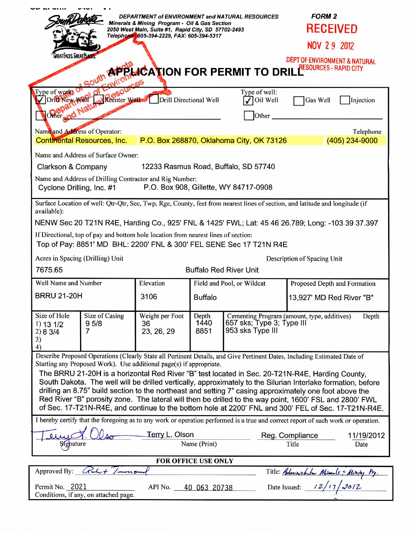| DEPARTMENT of ENVIRONMENT and NATURAL RESOURCES<br>Minerals & Mining Program - Oil & Gas Section<br>2050 West Main, Suite #1, Rapid City, SD 57702-2493<br>Telephone: 605-394-2229, FAX: 605-394-5317                                                                                                                                                                                                                                                                                                                                                                                                                                                                                                                                           |                                     |                       |                                               | <b>FORM 2</b><br><b>RECEIVED</b>                     |
|-------------------------------------------------------------------------------------------------------------------------------------------------------------------------------------------------------------------------------------------------------------------------------------------------------------------------------------------------------------------------------------------------------------------------------------------------------------------------------------------------------------------------------------------------------------------------------------------------------------------------------------------------------------------------------------------------------------------------------------------------|-------------------------------------|-----------------------|-----------------------------------------------|------------------------------------------------------|
|                                                                                                                                                                                                                                                                                                                                                                                                                                                                                                                                                                                                                                                                                                                                                 |                                     |                       | NOV 29 2012                                   |                                                      |
| LREATI ACES. LREATELA<br>DEPT OF ENVIRONMENT & NATURAL<br><b>PPLACATION FOR PERMIT TO DRILLE RESOURCES - RAPID CITY</b>                                                                                                                                                                                                                                                                                                                                                                                                                                                                                                                                                                                                                         |                                     |                       |                                               |                                                      |
| Type of work?<br>Dritt New Well<br>Other and Natur                                                                                                                                                                                                                                                                                                                                                                                                                                                                                                                                                                                                                                                                                              | Reenter Well Drill Directional Well |                       | Type of well:<br>Oil Well<br>Other            | Gas Well<br>Injection                                |
| Name and Address of Operator:                                                                                                                                                                                                                                                                                                                                                                                                                                                                                                                                                                                                                                                                                                                   |                                     |                       |                                               | Telephone                                            |
| <b>Continental Resources, Inc.</b>                                                                                                                                                                                                                                                                                                                                                                                                                                                                                                                                                                                                                                                                                                              |                                     |                       | P.O. Box 268870, Oklahoma City, OK 73126      | (405) 234-9000                                       |
| Name and Address of Surface Owner:                                                                                                                                                                                                                                                                                                                                                                                                                                                                                                                                                                                                                                                                                                              |                                     |                       |                                               |                                                      |
| 12233 Rasmus Road, Buffalo, SD 57740<br>Clarkson & Company                                                                                                                                                                                                                                                                                                                                                                                                                                                                                                                                                                                                                                                                                      |                                     |                       |                                               |                                                      |
| Name and Address of Drilling Contractor and Rig Number:<br>Cyclone Drilling, Inc. #1<br>P.O. Box 908, Gillette, WY 84717-0908                                                                                                                                                                                                                                                                                                                                                                                                                                                                                                                                                                                                                   |                                     |                       |                                               |                                                      |
| Surface Location of well: Qtr-Qtr, Sec, Twp, Rge, County, feet from nearest lines of section, and latitude and longitude (if<br>available):                                                                                                                                                                                                                                                                                                                                                                                                                                                                                                                                                                                                     |                                     |                       |                                               |                                                      |
| NENW Sec 20 T21N R4E, Harding Co., 925' FNL & 1425' FWL; Lat: 45 46 26.789; Long: -103 39 37.397                                                                                                                                                                                                                                                                                                                                                                                                                                                                                                                                                                                                                                                |                                     |                       |                                               |                                                      |
| If Directional, top of pay and bottom hole location from nearest lines of section:<br>Top of Pay: 8851' MD BHL: 2200' FNL & 300' FEL SENE Sec 17 T21N R4E                                                                                                                                                                                                                                                                                                                                                                                                                                                                                                                                                                                       |                                     |                       |                                               |                                                      |
| Acres in Spacing (Drilling) Unit<br>Description of Spacing Unit                                                                                                                                                                                                                                                                                                                                                                                                                                                                                                                                                                                                                                                                                 |                                     |                       |                                               |                                                      |
| 7675.65<br><b>Buffalo Red River Unit</b>                                                                                                                                                                                                                                                                                                                                                                                                                                                                                                                                                                                                                                                                                                        |                                     |                       |                                               |                                                      |
| Well Name and Number                                                                                                                                                                                                                                                                                                                                                                                                                                                                                                                                                                                                                                                                                                                            | Elevation                           |                       | Field and Pool, or Wildcat                    | Proposed Depth and Formation                         |
| <b>BRRU 21-20H</b>                                                                                                                                                                                                                                                                                                                                                                                                                                                                                                                                                                                                                                                                                                                              | 3106                                | <b>Buffalo</b>        |                                               | 13,927' MD Red River "B"                             |
| Size of Hole<br>Size of Casing<br>9 <sub>5/8</sub><br>1) 13 1/2<br>7<br>2) 8 3/4<br>3)<br>4)                                                                                                                                                                                                                                                                                                                                                                                                                                                                                                                                                                                                                                                    | Weight per Foot<br>36<br>23, 26, 29 | Depth<br>1440<br>8851 | 657 sks; Type 3; Type III<br>953 sks Type III | Cementing Program (amount, type, additives)<br>Depth |
| Describe Proposed Operations (Clearly State all Pertinent Details, and Give Pertinent Dates, Including Estimated Date of<br>Starting any Proposed Work). Use additional page(s) if appropriate.<br>The BRRU 21-20H is a horizontal Red River "B" test located in Sec. 20-T21N-R4E, Harding County,<br>South Dakota. The well will be drilled vertically, approximately to the Silurian Interlake formation, before<br>drilling an 8.75" build section to the northeast and setting 7" casing approximately one foot above the<br>Red River "B" porosity zone. The lateral will then be drilled to the way point, 1600' FSL and 2800' FWL<br>of Sec. 17-T21N-R4E, and continue to the bottom hole at 2200' FNL and 300' FEL of Sec. 17-T21N-R4E. |                                     |                       |                                               |                                                      |
| I hereby certify that the foregoing as to any work or operation performed is a true and correct report of such work or operation.                                                                                                                                                                                                                                                                                                                                                                                                                                                                                                                                                                                                               |                                     |                       |                                               |                                                      |
| Terry L. Olson<br>Name (Print)<br>Signature                                                                                                                                                                                                                                                                                                                                                                                                                                                                                                                                                                                                                                                                                                     |                                     |                       |                                               | Reg. Compliance<br>11/19/2012<br>Title<br>Date       |
| <b>FOR OFFICE USE ONLY</b>                                                                                                                                                                                                                                                                                                                                                                                                                                                                                                                                                                                                                                                                                                                      |                                     |                       |                                               |                                                      |
| Approved By: $C_{\ell}L_{\ell}$ /                                                                                                                                                                                                                                                                                                                                                                                                                                                                                                                                                                                                                                                                                                               |                                     |                       |                                               |                                                      |
| Title: Administrito Missuels & Minity Pg.<br>Date Issued: 12/17/2012<br>Permit No. 2021<br>API No.<br>40 063 20738<br>Conditions, if any, on attached page.                                                                                                                                                                                                                                                                                                                                                                                                                                                                                                                                                                                     |                                     |                       |                                               |                                                      |